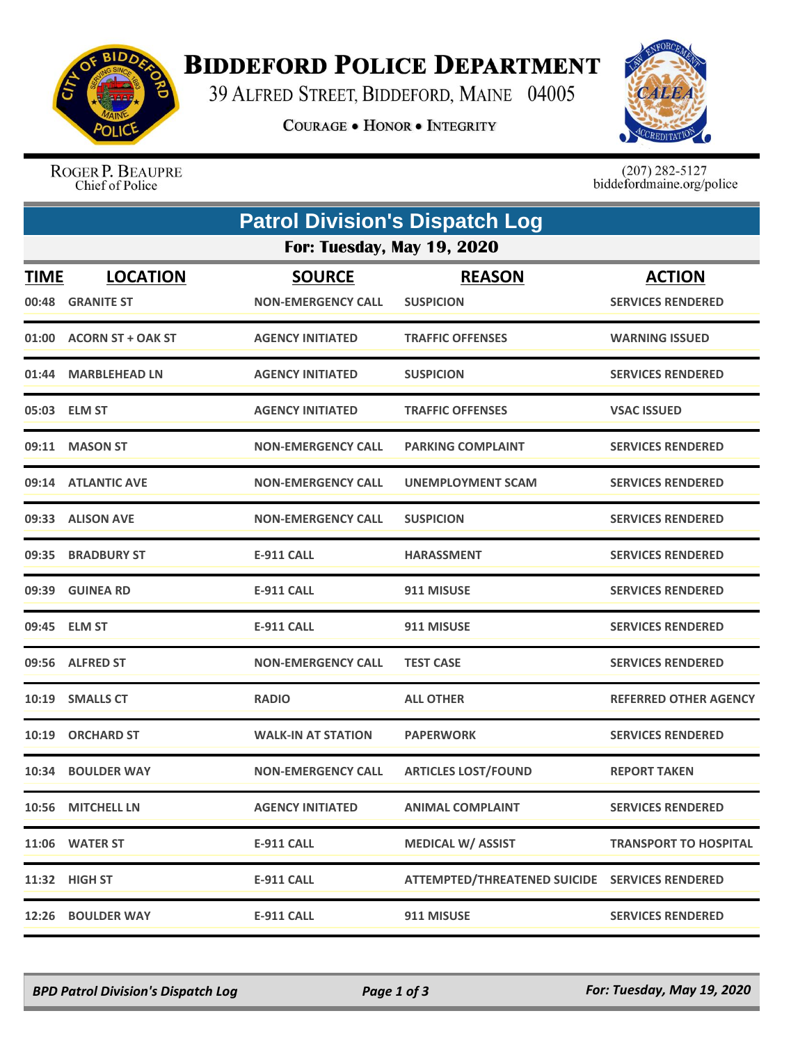

## **BIDDEFORD POLICE DEPARTMENT**

39 ALFRED STREET, BIDDEFORD, MAINE 04005

**COURAGE . HONOR . INTEGRITY** 



ROGER P. BEAUPRE Chief of Police

 $(207)$  282-5127<br>biddefordmaine.org/police

|                                   | <b>Patrol Division's Dispatch Log</b> |                           |                                                |                              |  |  |  |
|-----------------------------------|---------------------------------------|---------------------------|------------------------------------------------|------------------------------|--|--|--|
| <b>For: Tuesday, May 19, 2020</b> |                                       |                           |                                                |                              |  |  |  |
| <b>TIME</b>                       | <b>LOCATION</b>                       | <b>SOURCE</b>             | <b>REASON</b>                                  | <b>ACTION</b>                |  |  |  |
| 00:48                             | <b>GRANITE ST</b>                     | <b>NON-EMERGENCY CALL</b> | <b>SUSPICION</b>                               | <b>SERVICES RENDERED</b>     |  |  |  |
|                                   | 01:00 ACORN ST + OAK ST               | <b>AGENCY INITIATED</b>   | <b>TRAFFIC OFFENSES</b>                        | <b>WARNING ISSUED</b>        |  |  |  |
| 01:44                             | <b>MARBLEHEAD LN</b>                  | <b>AGENCY INITIATED</b>   | <b>SUSPICION</b>                               | <b>SERVICES RENDERED</b>     |  |  |  |
|                                   | 05:03 ELM ST                          | <b>AGENCY INITIATED</b>   | <b>TRAFFIC OFFENSES</b>                        | <b>VSAC ISSUED</b>           |  |  |  |
|                                   | 09:11 MASON ST                        | <b>NON-EMERGENCY CALL</b> | <b>PARKING COMPLAINT</b>                       | <b>SERVICES RENDERED</b>     |  |  |  |
|                                   | 09:14 ATLANTIC AVE                    | <b>NON-EMERGENCY CALL</b> | UNEMPLOYMENT SCAM                              | <b>SERVICES RENDERED</b>     |  |  |  |
|                                   | 09:33 ALISON AVE                      | <b>NON-EMERGENCY CALL</b> | <b>SUSPICION</b>                               | <b>SERVICES RENDERED</b>     |  |  |  |
| 09:35                             | <b>BRADBURY ST</b>                    | <b>E-911 CALL</b>         | <b>HARASSMENT</b>                              | <b>SERVICES RENDERED</b>     |  |  |  |
|                                   | 09:39 GUINEA RD                       | <b>E-911 CALL</b>         | 911 MISUSE                                     | <b>SERVICES RENDERED</b>     |  |  |  |
|                                   | 09:45 ELM ST                          | <b>E-911 CALL</b>         | 911 MISUSE                                     | <b>SERVICES RENDERED</b>     |  |  |  |
|                                   | 09:56 ALFRED ST                       | <b>NON-EMERGENCY CALL</b> | <b>TEST CASE</b>                               | <b>SERVICES RENDERED</b>     |  |  |  |
|                                   | 10:19 SMALLS CT                       | <b>RADIO</b>              | <b>ALL OTHER</b>                               | <b>REFERRED OTHER AGENCY</b> |  |  |  |
| 10:19                             | <b>ORCHARD ST</b>                     | <b>WALK-IN AT STATION</b> | <b>PAPERWORK</b>                               | <b>SERVICES RENDERED</b>     |  |  |  |
| 10:34                             | <b>BOULDER WAY</b>                    | <b>NON-EMERGENCY CALL</b> | <b>ARTICLES LOST/FOUND</b>                     | <b>REPORT TAKEN</b>          |  |  |  |
|                                   | 10:56 MITCHELL LN                     | <b>AGENCY INITIATED</b>   | <b>ANIMAL COMPLAINT</b>                        | <b>SERVICES RENDERED</b>     |  |  |  |
|                                   | 11:06 WATER ST                        | <b>E-911 CALL</b>         | <b>MEDICAL W/ ASSIST</b>                       | <b>TRANSPORT TO HOSPITAL</b> |  |  |  |
|                                   | 11:32 HIGH ST                         | <b>E-911 CALL</b>         | ATTEMPTED/THREATENED SUICIDE SERVICES RENDERED |                              |  |  |  |
| 12:26                             | <b>BOULDER WAY</b>                    | <b>E-911 CALL</b>         | 911 MISUSE                                     | <b>SERVICES RENDERED</b>     |  |  |  |

*BPD Patrol Division's Dispatch Log Page 1 of 3 For: Tuesday, May 19, 2020*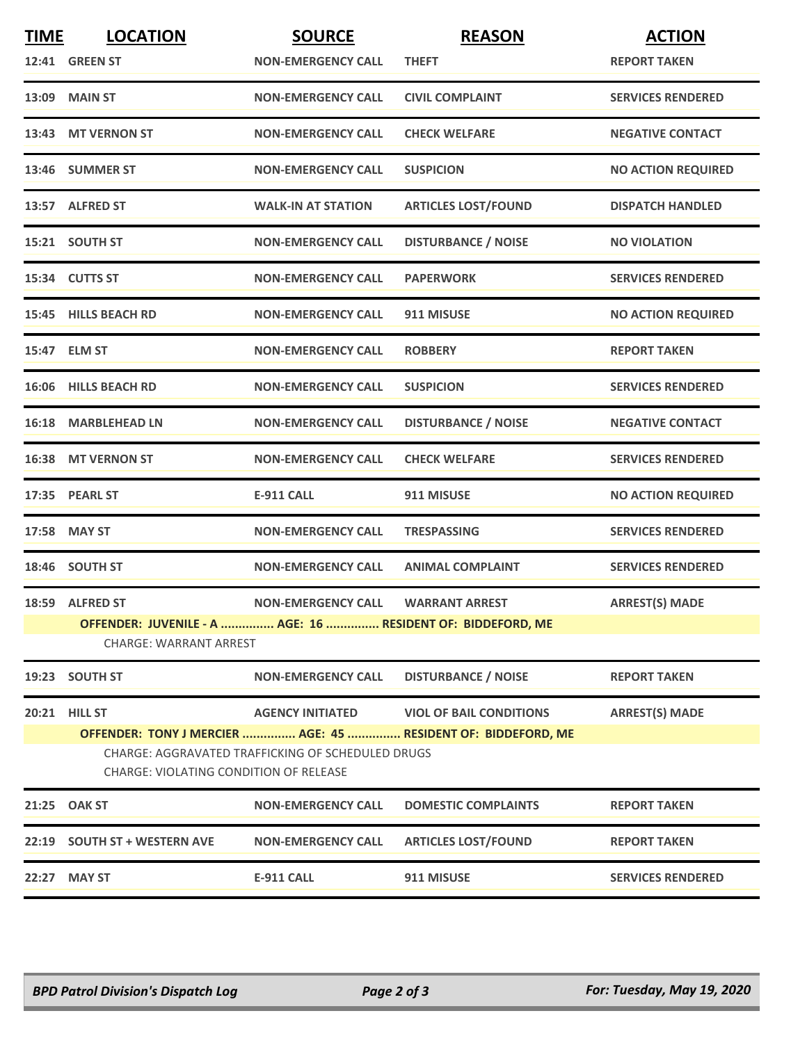| <b>TIME</b> | <b>LOCATION</b>                                                                                    | <b>SOURCE</b>             | <b>REASON</b>                                                 | <b>ACTION</b>             |  |  |  |
|-------------|----------------------------------------------------------------------------------------------------|---------------------------|---------------------------------------------------------------|---------------------------|--|--|--|
|             | <b>12:41 GREEN ST</b>                                                                              | <b>NON-EMERGENCY CALL</b> | <b>THEFT</b>                                                  | <b>REPORT TAKEN</b>       |  |  |  |
|             | 13:09 MAIN ST                                                                                      | <b>NON-EMERGENCY CALL</b> | <b>CIVIL COMPLAINT</b>                                        | <b>SERVICES RENDERED</b>  |  |  |  |
|             | 13:43 MT VERNON ST                                                                                 | <b>NON-EMERGENCY CALL</b> | <b>CHECK WELFARE</b>                                          | <b>NEGATIVE CONTACT</b>   |  |  |  |
|             | 13:46 SUMMER ST                                                                                    | <b>NON-EMERGENCY CALL</b> | <b>SUSPICION</b>                                              | <b>NO ACTION REQUIRED</b> |  |  |  |
|             | 13:57 ALFRED ST                                                                                    | <b>WALK-IN AT STATION</b> | <b>ARTICLES LOST/FOUND</b>                                    | <b>DISPATCH HANDLED</b>   |  |  |  |
|             | 15:21 SOUTH ST                                                                                     | <b>NON-EMERGENCY CALL</b> | <b>DISTURBANCE / NOISE</b>                                    | <b>NO VIOLATION</b>       |  |  |  |
|             | 15:34 CUTTS ST                                                                                     | <b>NON-EMERGENCY CALL</b> | <b>PAPERWORK</b>                                              | <b>SERVICES RENDERED</b>  |  |  |  |
|             | 15:45 HILLS BEACH RD                                                                               | <b>NON-EMERGENCY CALL</b> | 911 MISUSE                                                    | <b>NO ACTION REQUIRED</b> |  |  |  |
|             | 15:47 ELM ST                                                                                       | <b>NON-EMERGENCY CALL</b> | <b>ROBBERY</b>                                                | <b>REPORT TAKEN</b>       |  |  |  |
|             | 16:06 HILLS BEACH RD                                                                               | <b>NON-EMERGENCY CALL</b> | <b>SUSPICION</b>                                              | <b>SERVICES RENDERED</b>  |  |  |  |
|             | 16:18 MARBLEHEAD LN                                                                                | <b>NON-EMERGENCY CALL</b> | <b>DISTURBANCE / NOISE</b>                                    | <b>NEGATIVE CONTACT</b>   |  |  |  |
|             | 16:38 MT VERNON ST                                                                                 | <b>NON-EMERGENCY CALL</b> | <b>CHECK WELFARE</b>                                          | <b>SERVICES RENDERED</b>  |  |  |  |
|             | 17:35 PEARL ST                                                                                     | <b>E-911 CALL</b>         | 911 MISUSE                                                    | <b>NO ACTION REQUIRED</b> |  |  |  |
|             | 17:58 MAY ST                                                                                       | <b>NON-EMERGENCY CALL</b> | <b>TRESPASSING</b>                                            | <b>SERVICES RENDERED</b>  |  |  |  |
|             | 18:46 SOUTH ST                                                                                     | <b>NON-EMERGENCY CALL</b> | <b>ANIMAL COMPLAINT</b>                                       | <b>SERVICES RENDERED</b>  |  |  |  |
|             | 18:59 ALFRED ST                                                                                    | <b>NON-EMERGENCY CALL</b> | <b>WARRANT ARREST</b>                                         | <b>ARREST(S) MADE</b>     |  |  |  |
|             | OFFENDER: JUVENILE - A  AGE: 16  RESIDENT OF: BIDDEFORD, ME                                        |                           |                                                               |                           |  |  |  |
|             | <b>CHARGE: WARRANT ARREST</b>                                                                      |                           |                                                               |                           |  |  |  |
|             | 19:23 SOUTH ST                                                                                     | <b>NON-EMERGENCY CALL</b> | <b>DISTURBANCE / NOISE</b>                                    | <b>REPORT TAKEN</b>       |  |  |  |
|             | <b>20:21 HILL ST</b>                                                                               | <b>AGENCY INITIATED</b>   | <b>VIOL OF BAIL CONDITIONS</b>                                | <b>ARREST(S) MADE</b>     |  |  |  |
|             |                                                                                                    |                           | OFFENDER: TONY J MERCIER  AGE: 45  RESIDENT OF: BIDDEFORD, ME |                           |  |  |  |
|             | CHARGE: AGGRAVATED TRAFFICKING OF SCHEDULED DRUGS<br><b>CHARGE: VIOLATING CONDITION OF RELEASE</b> |                           |                                                               |                           |  |  |  |
|             | 21:25 OAK ST                                                                                       | <b>NON-EMERGENCY CALL</b> | <b>DOMESTIC COMPLAINTS</b>                                    | <b>REPORT TAKEN</b>       |  |  |  |
|             | 22:19 SOUTH ST + WESTERN AVE                                                                       | <b>NON-EMERGENCY CALL</b> | <b>ARTICLES LOST/FOUND</b>                                    | <b>REPORT TAKEN</b>       |  |  |  |
| 22:27       | <b>MAY ST</b>                                                                                      | <b>E-911 CALL</b>         | 911 MISUSE                                                    | <b>SERVICES RENDERED</b>  |  |  |  |
|             |                                                                                                    |                           |                                                               |                           |  |  |  |